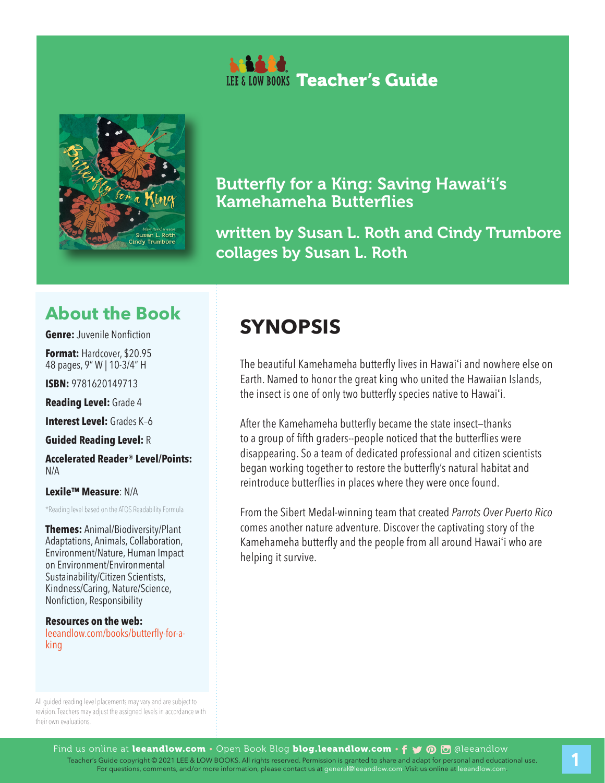



## Butterfly for a King: Saving Hawai**'**i's Kamehameha Butterflies

written by Susan L. Roth and Cindy Trumbore collages by Susan L. Roth

## **About the Book**

**Genre:** Juvenile Nonfiction

**Format:** Hardcover, \$20.95 48 pages, 9" W | 10-3/4" H

**ISBN:** 9781620149713

**Reading Level:** Grade 4

**Interest Level:** Grades K–6

**Guided Reading Level:** R

**Accelerated Reader® Level/Points:**   $N/\Delta$ 

**Lexile™ Measure**: N/A

\*Reading level based on the ATOS Readability Formula

**Themes:** Animal/Biodiversity/Plant Adaptations, Animals, Collaboration, Environment/Nature, Human Impact on Environment/Environmental Sustainability/Citizen Scientists, Kindness/Caring, Nature/Science, Nonfiction, Responsibility

**Resources on the web:**  leeandlow.com/books/butterfly-for-aking

## **SYNOPSIS**

The beautiful Kamehameha butterfly lives in Hawai'i and nowhere else on Earth. Named to honor the great king who united the Hawaiian Islands, the insect is one of only two butterfly species native to Hawai'i.

After the Kamehameha butterfly became the state insect—thanks to a group of fifth graders--people noticed that the butterflies were disappearing. So a team of dedicated professional and citizen scientists began working together to restore the butterfly's natural habitat and reintroduce butterflies in places where they were once found.

From the Sibert Medal-winning team that created *Parrots Over Puerto Rico* comes another nature adventure. Discover the captivating story of the Kamehameha butterfly and the people from all around Hawai'i who are helping it survive.

All guided reading level placements may vary and are subject to revision. Teachers may adjust the assigned levels in accordance with their own evaluations.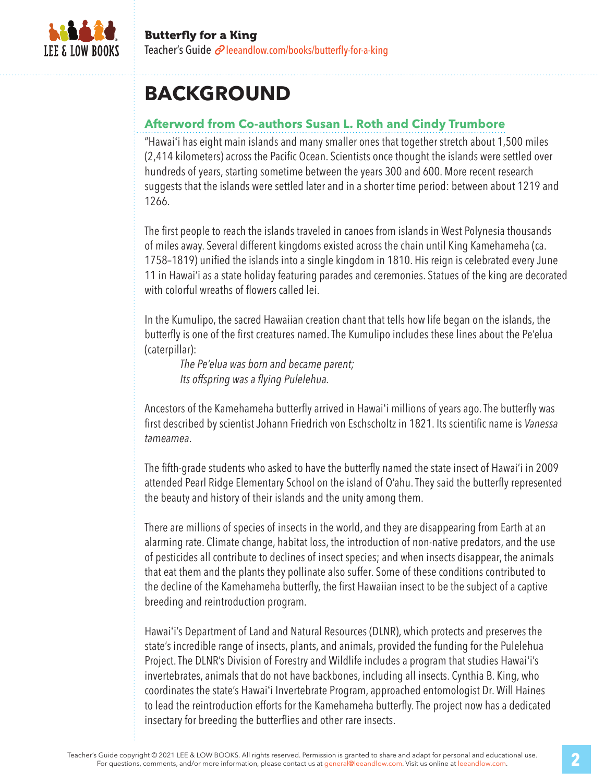

## **BACKGROUND**

### **Afterword from Co-authors Susan L. Roth and Cindy Trumbore**

"Hawai'i has eight main islands and many smaller ones that together stretch about 1,500 miles (2,414 kilometers) across the Pacific Ocean. Scientists once thought the islands were settled over hundreds of years, starting sometime between the years 300 and 600. More recent research suggests that the islands were settled later and in a shorter time period: between about 1219 and 1266.

The first people to reach the islands traveled in canoes from islands in West Polynesia thousands of miles away. Several different kingdoms existed across the chain until King Kamehameha (ca. 1758–1819) unified the islands into a single kingdom in 1810. His reign is celebrated every June 11 in Hawai'i as a state holiday featuring parades and ceremonies. Statues of the king are decorated with colorful wreaths of flowers called lei.

In the Kumulipo, the sacred Hawaiian creation chant that tells how life began on the islands, the butterfly is one of the first creatures named. The Kumulipo includes these lines about the Pe'elua (caterpillar):

*The Pe'elua was born and became parent; Its offspring was a flying Pulelehua.*

Ancestors of the Kamehameha butterfly arrived in Hawai'i millions of years ago. The butterfly was first described by scientist Johann Friedrich von Eschscholtz in 1821. Its scientific name is *Vanessa tameamea*.

The fifth-grade students who asked to have the butterfly named the state insect of Hawai'i in 2009 attended Pearl Ridge Elementary School on the island of O'ahu. They said the butterfly represented the beauty and history of their islands and the unity among them.

There are millions of species of insects in the world, and they are disappearing from Earth at an alarming rate. Climate change, habitat loss, the introduction of non-native predators, and the use of pesticides all contribute to declines of insect species; and when insects disappear, the animals that eat them and the plants they pollinate also suffer. Some of these conditions contributed to the decline of the Kamehameha butterfly, the first Hawaiian insect to be the subject of a captive breeding and reintroduction program.

Hawai'i's Department of Land and Natural Resources (DLNR), which protects and preserves the state's incredible range of insects, plants, and animals, provided the funding for the Pulelehua Project. The DLNR's Division of Forestry and Wildlife includes a program that studies Hawai'i's invertebrates, animals that do not have backbones, including all insects. Cynthia B. King, who coordinates the state's Hawai'i Invertebrate Program, approached entomologist Dr. Will Haines to lead the reintroduction efforts for the Kamehameha butterfly. The project now has a dedicated insectary for breeding the butterflies and other rare insects.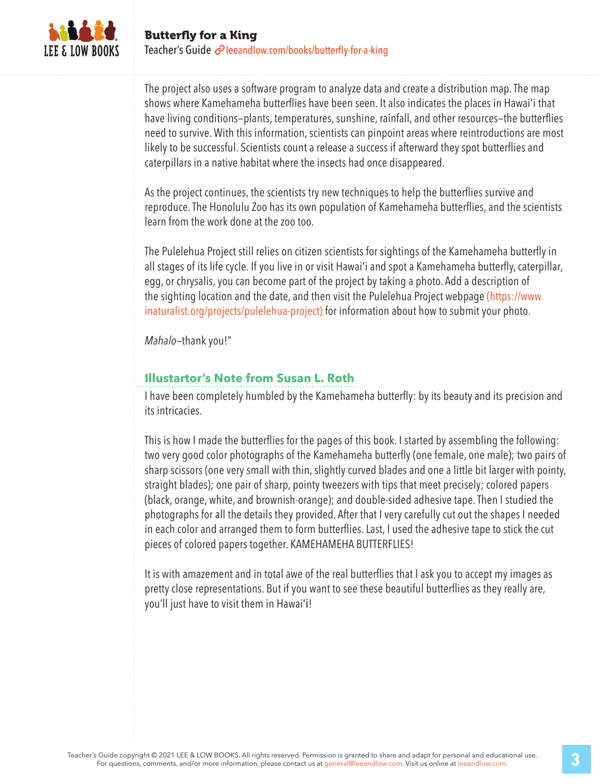

The project also uses a software program to analyze data and create a distribution map. The map shows where Kamehameha butterflies have been seen. It also indicates the places in Hawai'i that have living conditions—plants, temperatures, sunshine, rainfall, and other resources—the butterflies need to survive. With this information, scientists can pinpoint areas where reintroductions are most likely to be successful. Scientists count a release a success if afterward they spot butterflies and caterpillars in a native habitat where the insects had once disappeared.

As the project continues, the scientists try new techniques to help the butterflies survive and reproduce. The Honolulu Zoo has its own population of Kamehameha butterflies, and the scientists learn from the work done at the zoo too.

The Pulelehua Project still relies on citizen scientists for sightings of the Kamehameha butterfly in all stages of its life cycle. If you live in or visit Hawai'i and spot a Kamehameha butterfly, caterpillar, egg, or chrysalis, you can become part of the project by taking a photo. Add a description of the sighting location and the date, and then visit the Pulelehua Project webpage (https://www. inaturalist.org/projects/pulelehua-project) for information about how to submit your photo.

*Mahalo*—thank you!"

#### **Illustartor's Note from Susan L. Roth**

I have been completely humbled by the Kamehameha butterfly: by its beauty and its precision and its intricacies.

This is how I made the butterflies for the pages of this book. I started by assembling the following: two very good color photographs of the Kamehameha butterfly (one female, one male); two pairs of sharp scissors (one very small with thin, slightly curved blades and one a little bit larger with pointy, straight blades); one pair of sharp, pointy tweezers with tips that meet precisely; colored papers (black, orange, white, and brownish-orange); and double-sided adhesive tape. Then I studied the photographs for all the details they provided. After that I very carefully cut out the shapes I needed in each color and arranged them to form butterflies. Last, I used the adhesive tape to stick the cut pieces of colored papers together. KAMEHAMEHA BUTTERFLIES!

It is with amazement and in total awe of the real butterflies that I ask you to accept my images as pretty close representations. But if you want to see these beautiful butterflies as they really are, you'll just have to visit them in Hawai'i!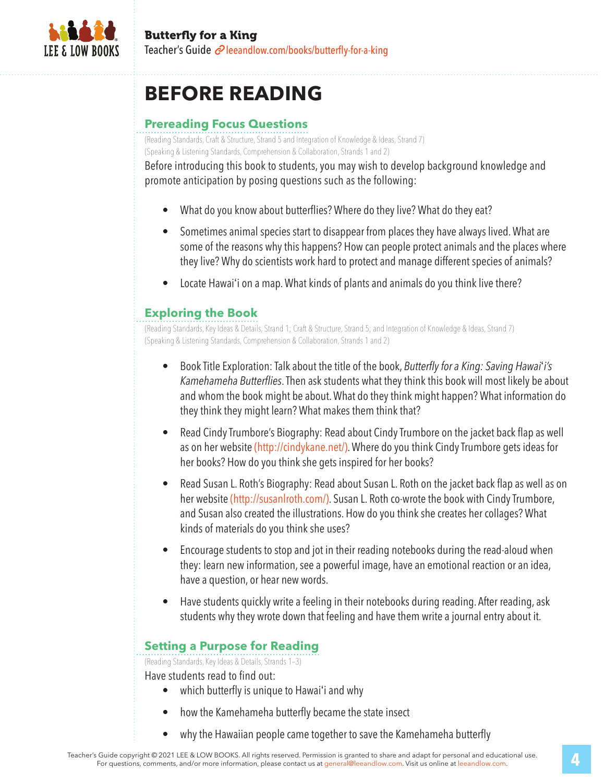

## **BEFORE READING**

### **Prereading Focus Questions**

(Reading Standards, Craft & Structure, Strand 5 and Integration of Knowledge & Ideas, Strand 7) (Speaking & Listening Standards, Comprehension & Collaboration, Strands 1 and 2)

Before introducing this book to students, you may wish to develop background knowledge and promote anticipation by posing questions such as the following:

- What do you know about butterflies? Where do they live? What do they eat?
- Sometimes animal species start to disappear from places they have always lived. What are some of the reasons why this happens? How can people protect animals and the places where they live? Why do scientists work hard to protect and manage different species of animals?
- Locate Hawai'i on a map. What kinds of plants and animals do you think live there?

### **Exploring the Book**

(Reading Standards, Key Ideas & Details, Strand 1; Craft & Structure, Strand 5; and Integration of Knowledge & Ideas, Strand 7) (Speaking & Listening Standards, Comprehension & Collaboration, Strands 1 and 2)

- Book Title Exploration: Talk about the title of the book, *Butterflyfor a King: Saving Hawai*'*i's Kamehameha Butterflies*. Then ask students what they think this book will most likely be about and whom the book might be about. What do they think might happen? What information do they think they might learn? What makes them think that?
- Read Cindy Trumbore's Biography: Read about Cindy Trumbore on the jacket back flap as well as on her website (http://cindykane.net/). Where do you think Cindy Trumbore gets ideas for her books? How do you think she gets inspired for her books?
- Read Susan L. Roth's Biography: Read about Susan L. Roth on the jacket back flap as well as on her website (http://susanlroth.com/). Susan L. Roth co-wrote the book with Cindy Trumbore, and Susan also created the illustrations. How do you think she creates her collages? What kinds of materials do you think she uses?
- Encourage students to stop and jot in their reading notebooks during the read-aloud when they: learn new information, see a powerful image, have an emotional reaction or an idea, have a question, or hear new words.
- Have students quickly write a feeling in their notebooks during reading. After reading, ask students why they wrote down that feeling and have them write a journal entry about it.

### **Setting a Purpose for Reading**

(Reading Standards, Key Ideas & Details, Strands 1–3)

Have students read to find out:

- which butterfly is unique to Hawai'i and why
- how the Kamehameha butterfly became the state insect
- why the Hawaiian people came together to save the Kamehameha butterfly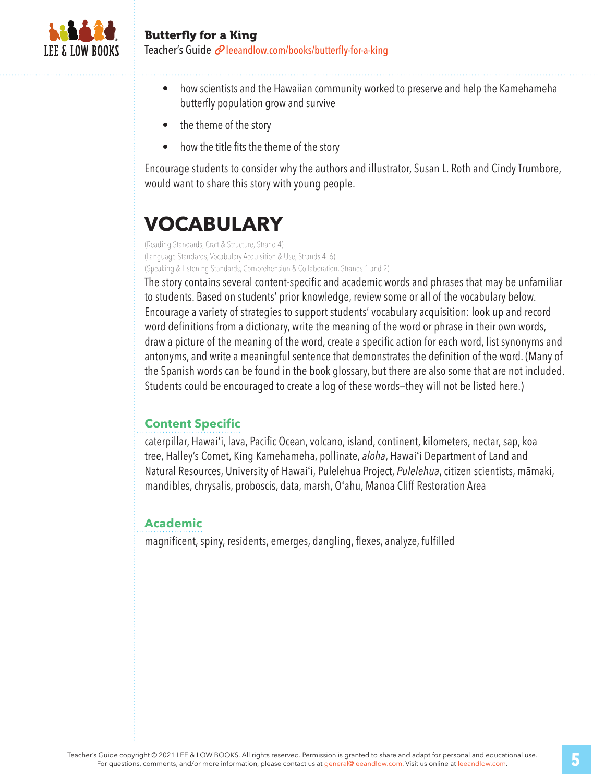

- how scientists and the Hawaiian community worked to preserve and help the Kamehameha butterfly population grow and survive
- the theme of the story
- how the title fits the theme of the story

Encourage students to consider why the authors and illustrator, Susan L. Roth and Cindy Trumbore, would want to share this story with young people.

# **VOCABULARY**

(Reading Standards, Craft & Structure, Strand 4) (Language Standards, Vocabulary Acquisition & Use, Strands 4–6) (Speaking & Listening Standards, Comprehension & Collaboration, Strands 1 and 2)

The story contains several content-specific and academic words and phrases that may be unfamiliar to students. Based on students' prior knowledge, review some or all of the vocabulary below. Encourage a variety of strategies to support students' vocabulary acquisition: look up and record word definitions from a dictionary, write the meaning of the word or phrase in their own words, draw a picture of the meaning of the word, create a specific action for each word, list synonyms and antonyms, and write a meaningful sentence that demonstrates the definition of the word. (Many of the Spanish words can be found in the book glossary, but there are also some that are not included. Students could be encouraged to create a log of these words—they will not be listed here.)

### **Content Specific**

caterpillar, Hawai'i, lava, Pacific Ocean, volcano, island, continent, kilometers, nectar, sap, koa tree, Halley's Comet, King Kamehameha, pollinate, *aloha*, Hawai'i Department of Land and Natural Resources, University of Hawai'i, Pulelehua Project, *Pulelehua*, citizen scientists, māmaki, mandibles, chrysalis, proboscis, data, marsh, O'ahu, Manoa Cliff Restoration Area

#### **Academic**

magnificent, spiny, residents, emerges, dangling, flexes, analyze, fulfilled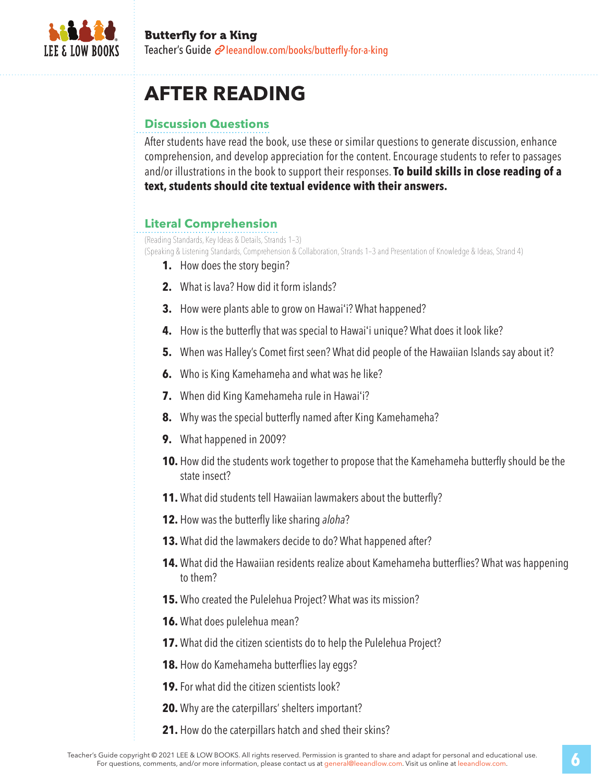

## **AFTER READING**

### **Discussion Questions**

After students have read the book, use these or similar questions to generate discussion, enhance comprehension, and develop appreciation for the content. Encourage students to refer to passages and/or illustrations in the book to support their responses. **To build skills in close reading of a text, students should cite textual evidence with their answers.**

### **Literal Comprehension**

(Reading Standards, Key Ideas & Details, Strands 1–3)

(Speaking & Listening Standards, Comprehension & Collaboration, Strands 1–3 and Presentation of Knowledge & Ideas, Strand 4)

- **1.** How does the story begin?
- **2.** What is lava? How did it form islands?
- **3.** How were plants able to grow on Hawai'i? What happened?
- **4.** How is the butterfly that was special to Hawai'i unique? What does it look like?
- **5.** When was Halley's Comet first seen? What did people of the Hawaiian Islands say about it?
- **6.** Who is King Kamehameha and what was he like?
- **7.** When did King Kamehameha rule in Hawai'i?
- **8.** Why was the special butterfly named after King Kamehameha?
- **9.** What happened in 2009?
- **10.** How did the students work together to propose that the Kamehameha butterfly should be the state insect?
- **11.** What did students tell Hawaiian lawmakers about the butterfly?
- **12.** How was the butterfly like sharing *aloha*?
- **13.** What did the lawmakers decide to do? What happened after?
- **14.** What did the Hawaiian residents realize about Kamehameha butterflies? What was happening to them?
- **15.** Who created the Pulelehua Project? What was its mission?
- **16.** What does pulelehua mean?
- **17.** What did the citizen scientists do to help the Pulelehua Project?
- **18.** How do Kamehameha butterflies lay eggs?
- **19.**For what did the citizen scientists look?
- **20.** Why are the caterpillars' shelters important?
- **21.** How do the caterpillars hatch and shed their skins?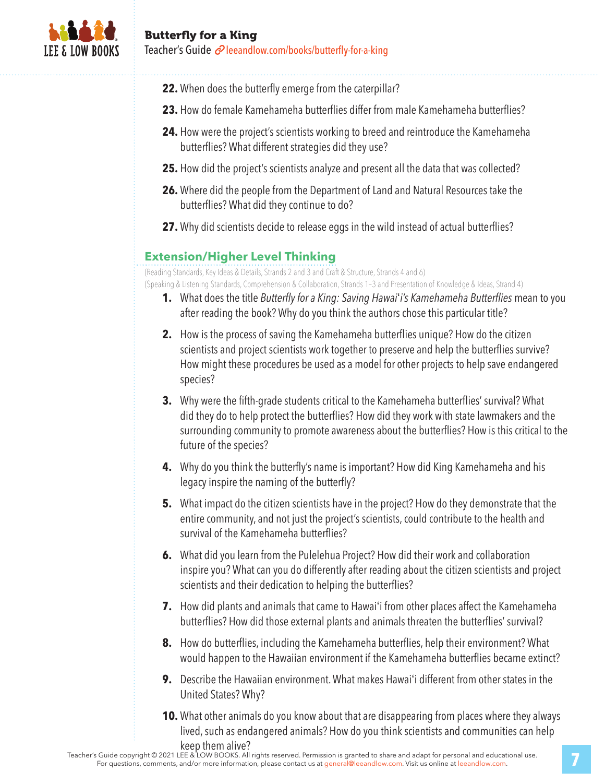

- **22.** When does the butterfly emerge from the caterpillar?
- **23.** How do female Kamehameha butterflies differ from male Kamehameha butterflies?
- **24.** How were the project's scientists working to breed and reintroduce the Kamehameha butterflies? What different strategies did they use?
- **25.** How did the project's scientists analyze and present all the data that was collected?
- **26.** Where did the people from the Department of Land and Natural Resources take the butterflies? What did they continue to do?
- **27.** Why did scientists decide to release eggs in the wild instead of actual butterflies?

#### **Extension/Higher Level Thinking**

(Reading Standards, Key Ideas & Details, Strands 2 and 3 and Craft & Structure, Strands 4 and 6)

(Speaking & Listening Standards, Comprehension & Collaboration, Strands 1–3 and Presentation of Knowledge & Ideas, Strand 4)

- **1.** What does the title *Butterflyfor a King: Saving Hawai*'*i's Kamehameha Butterflies* mean to you after reading the book? Why do you think the authors chose this particular title?
- **2.** How is the process of saving the Kamehameha butterflies unique? How do the citizen scientists and project scientists work together to preserve and help the butterflies survive? How might these procedures be used as a model for other projects to help save endangered species?
- **3.** Why were the fifth-grade students critical to the Kamehameha butterflies' survival? What did they do to help protect the butterflies? How did they work with state lawmakers and the surrounding community to promote awareness about the butterflies? How is this critical to the future of the species?
- **4.** Why do you think the butterfly's name is important? How did King Kamehameha and his legacy inspire the naming of the butterfly?
- **5.** What impact do the citizen scientists have in the project? How do they demonstrate that the entire community, and not just the project's scientists, could contribute to the health and survival of the Kamehameha butterflies?
- **6.** What did you learn from the Pulelehua Project? How did their work and collaboration inspire you? What can you do differently after reading about the citizen scientists and project scientists and their dedication to helping the butterflies?
- **7.** How did plants and animals that came to Hawai'i from other places affect the Kamehameha butterflies? How did those external plants and animals threaten the butterflies' survival?
- **8.** How do butterflies, including the Kamehameha butterflies, help their environment? What would happen to the Hawaiian environment if the Kamehameha butterflies became extinct?
- **9.** Describe the Hawaiian environment. What makes Hawai'i different from other states in the United States? Why?
- **10.** What other animals do you know about that are disappearing from places where they always lived, such as endangered animals? How do you think scientists and communities can help keep them alive?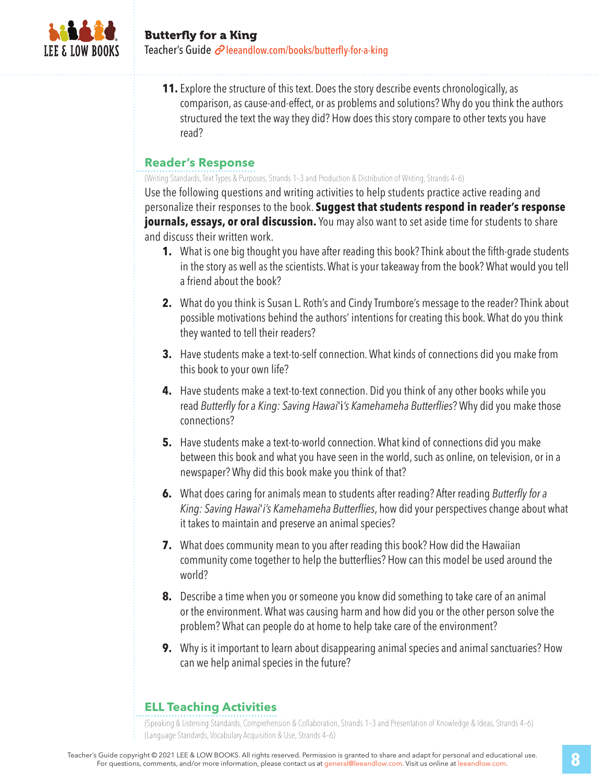

**11.** Explore the structure of this text. Does the story describe events chronologically, as comparison, as cause-and-effect, or as problems and solutions? Why do you think the authors structured the text the way they did? How does this story compare to other texts you have read?

#### **Reader's Response**

(Writing Standards, Text Types & Purposes, Strands 1–3 and Production & Distribution of Writing, Strands 4–6)

Use the following questions and writing activities to help students practice active reading and personalize their responses to the book. **Suggest that students respond in reader's response journals, essays, or oral discussion.** You may also want to set aside time for students to share and discuss their written work.

- **1.** What is one big thought you have after reading this book? Think about the fifth-grade students in the story as well as the scientists. What is your takeaway from the book? What would you tell a friend about the book?
- **2.** What do you think is Susan L. Roth's and Cindy Trumbore's message to the reader? Think about possible motivations behind the authors' intentions for creating this book. What do you think they wanted to tell their readers?
- **3.** Have students make a text-to-self connection. What kinds of connections did you make from this book to your own life?
- **4.** Have students make a text-to-text connection. Did you think of any other books while you read *Butterflyfor a King: Saving Hawai*'i*'s Kamehameha Butterflies*? Why did you make those connections?
- **5.** Have students make a text-to-world connection. What kind of connections did you make between this book and what you have seen in the world, such as online, on television, or in a newspaper? Why did this book make you think of that?
- **6.** What does caring for animals mean to students after reading? After reading *Butterflyfor a King: Saving Hawai*'*i's Kamehameha Butterflies*, how did your perspectives change about what it takes to maintain and preserve an animal species?
- **7.** What does community mean to you after reading this book? How did the Hawaiian community come together to help the butterflies? How can this model be used around the world?
- **8.** Describe a time when you or someone you know did something to take care of an animal or the environment. What was causing harm and how did you or the other person solve the problem? What can people do at home to help take care of the environment?
- **9.** Why is it important to learn about disappearing animal species and animal sanctuaries? How can we help animal species in the future?

#### **ELL Teaching Activities**

(Speaking & Listening Standards, Comprehension & Collaboration, Strands 1–3 and Presentation of Knowledge & Ideas, Strands 4–6) (Language Standards, Vocabulary Acquisition & Use, Strands 4–6)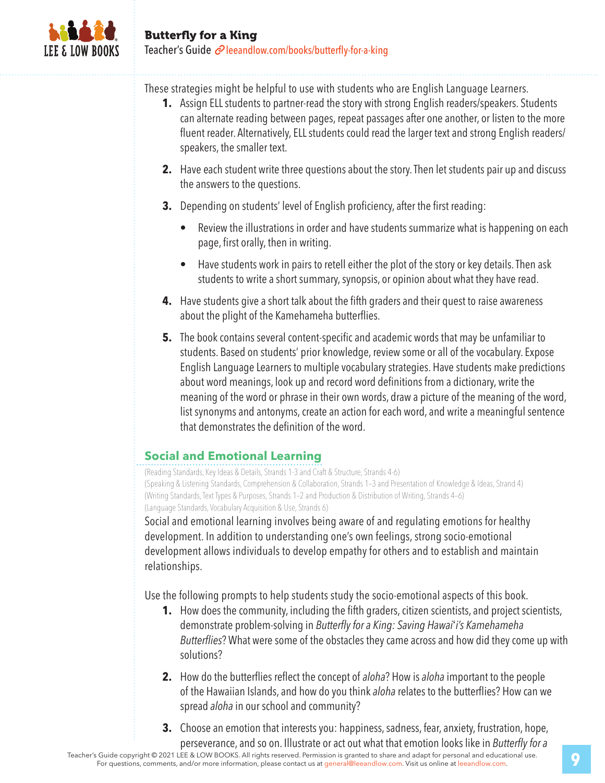

These strategies might be helpful to use with students who are English Language Learners.

- **1.** Assign ELL students to partner-read the story with strong English readers/speakers. Students can alternate reading between pages, repeat passages after one another, or listen to the more fluent reader. Alternatively, ELL students could read the larger text and strong English readers/ speakers, the smaller text.
- **2.** Have each student write three questions about the story. Then let students pair up and discuss the answers to the questions.
- **3.** Depending on students' level of English proficiency, after the first reading:
	- Review the illustrations in order and have students summarize what is happening on each page, first orally, then in writing.
	- Have students work in pairs to retell either the plot of the story or key details. Then ask students to write a short summary, synopsis, or opinion about what they have read.
- **4.** Have students give a short talk about the fifth graders and their quest to raise awareness about the plight of the Kamehameha butterflies.
- **5.** The book contains several content-specific and academic words that may be unfamiliar to students. Based on students' prior knowledge, review some or all of the vocabulary. Expose English Language Learners to multiple vocabulary strategies. Have students make predictions about word meanings, look up and record word definitions from a dictionary, write the meaning of the word or phrase in their own words, draw a picture of the meaning of the word, list synonyms and antonyms, create an action for each word, and write a meaningful sentence that demonstrates the definition of the word.

## **Social and Emotional Learning**

(Reading Standards, Key Ideas & Details, Strands 1-3 and Craft & Structure, Strands 4-6) (Speaking & Listening Standards, Comprehension & Collaboration, Strands 1–3 and Presentation of Knowledge & Ideas, Strand 4) (Writing Standards, Text Types & Purposes, Strands 1–2 and Production & Distribution of Writing, Strands 4–6) (Language Standards, Vocabulary Acquisition & Use, Strands 6)

Social and emotional learning involves being aware of and regulating emotions for healthy development. In addition to understanding one's own feelings, strong socio-emotional development allows individuals to develop empathy for others and to establish and maintain relationships.

Use the following prompts to help students study the socio-emotional aspects of this book.

- **1.** How does the community, including the fifth graders, citizen scientists, and project scientists, demonstrate problem-solving in *Butterflyfor a King: Saving Hawai*'*i's Kamehameha Butterflies*? What were some of the obstacles they came across and how did they come up with solutions?
- **2.** How do the butterflies reflect the concept of *aloha*? How is *aloha* important to the people of the Hawaiian Islands, and how do you think *aloha* relates to the butterflies? How can we spread *aloha* in our school and community?
- **3.** Choose an emotion that interests you: happiness, sadness, fear, anxiety, frustration, hope, perseverance, and so on. Illustrate or act out what that emotion looks like in *Butterflyfor a*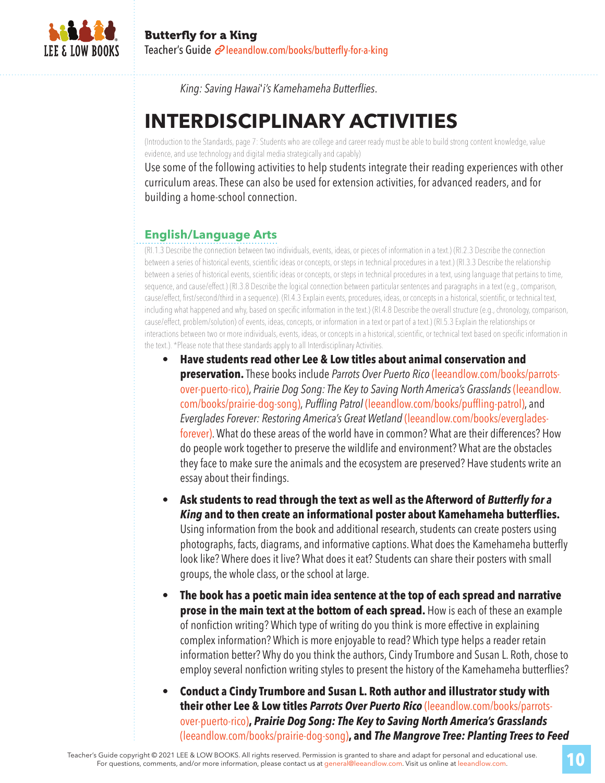

*King: Saving Hawai*'*i's Kamehameha Butterflies*.

## **INTERDISCIPLINARY ACTIVITIES**

(Introduction to the Standards, page 7: Students who are college and career ready must be able to build strong content knowledge, value evidence, and use technology and digital media strategically and capably)

Use some of the following activities to help students integrate their reading experiences with other curriculum areas. These can also be used for extension activities, for advanced readers, and for building a home-school connection.

### **English/Language Arts**

(RI.1.3 Describe the connection between two individuals, events, ideas, or pieces of information in a text.) (RI.2.3 Describe the connection between a series of historical events, scientific ideas or concepts, or steps in technical procedures in a text.) (RI.3.3 Describe the relationship between a series of historical events, scientific ideas or concepts, or steps in technical procedures in a text, using language that pertains to time, sequence, and cause/effect.) (RI.3.8 Describe the logical connection between particular sentences and paragraphs in a text (e.g., comparison, cause/effect, first/second/third in a sequence). (RI.4.3 Explain events, procedures, ideas, or concepts in a historical, scientific, or technical text, including what happened and why, based on specific information in the text.) (RI.4.8 Describe the overall structure (e.g., chronology, comparison, cause/effect, problem/solution) of events, ideas, concepts, or information in a text or part of a text.) (RI.5.3 Explain the relationships or interactions between two or more individuals, events, ideas, or concepts in a historical, scientific, or technical text based on specific information in the text.). \*Please note that these standards apply to all Interdisciplinary Activities.

• **Have students read other Lee & Low titles about animal conservation and preservation.** These books include *Parrots Over Puerto Rico* (leeandlow.com/books/parrotsover-puerto-rico), *Prairie Dog Song:The Keyto Saving North America's Grasslands* (leeandlow. com/books/prairie-dog-song), *Puffling Patrol* (leeandlow.com/books/puffling-patrol), and *EvergladesForever: Restoring America's Great Wetland* (leeandlow.com/books/evergladesforever). What do these areas of the world have in common? What are their differences? How do people work together to preserve the wildlife and environment? What are the obstacles they face to make sure the animals and the ecosystem are preserved? Have students write an essay about their findings.

• **Ask students to read through the text as well as the Afterword of** *Butterfly for a King* **and to then create an informational poster about Kamehameha butterflies.**  Using information from the book and additional research, students can create posters using photographs, facts, diagrams, and informative captions. What does the Kamehameha butterfly look like? Where does it live? What does it eat? Students can share their posters with small groups, the whole class, or the school at large.

- **The book has a poetic main idea sentence at the top of each spread and narrative prose in the main text at the bottom of each spread.** How is each of these an example of nonfiction writing? Which type of writing do you think is more effective in explaining complex information? Which is more enjoyable to read? Which type helps a reader retain information better? Why do you think the authors, Cindy Trumbore and Susan L. Roth, chose to employ several nonfiction writing styles to present the history of the Kamehameha butterflies?
- **Conduct a Cindy Trumbore and Susan L. Roth author and illustrator study with their other Lee & Low titles** *Parrots Over Puerto Rico* (leeandlow.com/books/parrotsover-puerto-rico)**,** *Prairie Dog Song: The Key to Saving North America's Grasslands*  (leeandlow.com/books/prairie-dog-song)**, and** *The Mangrove Tree: Planting Trees to Feed*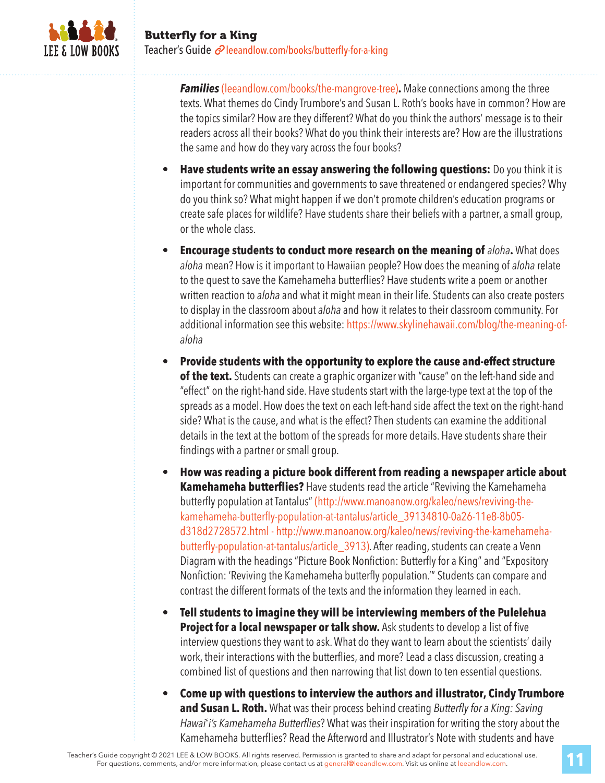

*Families* (leeandlow.com/books/the-mangrove-tree)**.** Make connections among the three texts. What themes do Cindy Trumbore's and Susan L. Roth's books have in common? How are the topics similar? How are they different? What do you think the authors' message is to their readers across all their books? What do you think their interests are? How are the illustrations the same and how do they vary across the four books?

- **Have students write an essay answering the following questions:** Do you think it is important for communities and governments to save threatened or endangered species? Why do you think so? What might happen if we don't promote children's education programs or create safe places for wildlife? Have students share their beliefs with a partner, a small group, or the whole class.
- **Encourage students to conduct more research on the meaning of** *aloha***.** What does *aloha* mean? How is it important to Hawaiian people? How does the meaning of *aloha* relate to the quest to save the Kamehameha butterflies? Have students write a poem or another written reaction to *aloha* and what it might mean in their life. Students can also create posters to display in the classroom about *aloha* and how it relates to their classroom community. For additional information see this website: https://www.skylinehawaii.com/blog/the-meaning-of*aloha*
- **Provide students with the opportunity to explore the cause and-effect structure**  of the text. Students can create a graphic organizer with "cause" on the left-hand side and "effect" on the right-hand side. Have students start with the large-type text at the top of the spreads as a model. How does the text on each left-hand side affect the text on the right-hand side? What is the cause, and what is the effect? Then students can examine the additional details in the text at the bottom of the spreads for more details. Have students share their findings with a partner or small group.
- **How was reading a picture book different from reading a newspaper article about Kamehameha butterflies?** Have students read the article "Reviving the Kamehameha butterfly population at Tantalus" (http://www.manoanow.org/kaleo/news/reviving-thekamehameha-butterfly-population-at-tantalus/article\_39134810-0a26-11e8-8b05 d318d2728572.html - http://www.manoanow.org/kaleo/news/reviving-the-kamehamehabutterfly-population-at-tantalus/article\_3913). After reading, students can create a Venn Diagram with the headings "Picture Book Nonfiction: Butterfly for a King" and "Expository Nonfiction: 'Reviving the Kamehameha butterfly population.'" Students can compare and contrast the different formats of the texts and the information they learned in each.
- **Tell students to imagine they will be interviewing members of the Pulelehua Project for a local newspaper or talk show.** Ask students to develop a list of five interview questions they want to ask. What do they want to learn about the scientists' daily work, their interactions with the butterflies, and more? Lead a class discussion, creating a combined list of questions and then narrowing that list down to ten essential questions.
- **Come up with questions to interview the authors and illustrator, Cindy Trumbore and Susan L. Roth.** What was their process behind creating *Butterflyfor a King: Saving Hawai*'*i's Kamehameha Butterflies*? What was their inspiration for writing the story about the Kamehameha butterflies? Read the Afterword and Illustrator's Note with students and have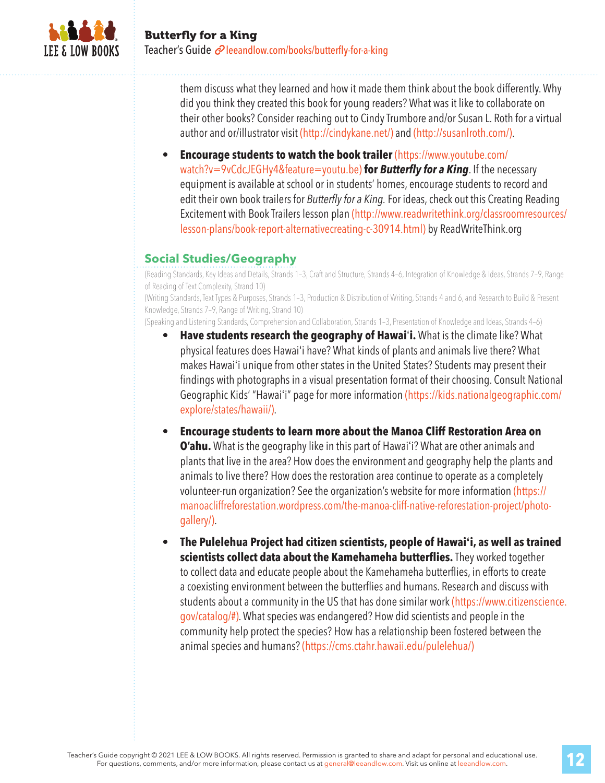

them discuss what they learned and how it made them think about the book differently. Why did you think they created this book for young readers? What was it like to collaborate on their other books? Consider reaching out to Cindy Trumbore and/or Susan L. Roth for a virtual author and or/illustrator visit (http://cindykane.net/) and (http://susanlroth.com/).

• **Encourage students to watch the book trailer** (https://www.youtube.com/ watch?v=9vCdcJEGHy4&feature=youtu.be) **for** *Butterfly for a King*. If the necessary equipment is available at school or in students' homes, encourage students to record and edit their own book trailers for *Butterfly for a King*. For ideas, check out this Creating Reading Excitement with Book Trailers lesson plan (http://www.readwritethink.org/classroomresources/ lesson-plans/book-report-alternativecreating-c-30914.html) by ReadWriteThink.org

### **Social Studies/Geography**

(Reading Standards, Key Ideas and Details, Strands 1–3, Craft and Structure, Strands 4–6, Integration of Knowledge & Ideas, Strands 7–9, Range of Reading of Text Complexity, Strand 10)

(Writing Standards, Text Types & Purposes, Strands 1–3, Production & Distribution of Writing, Strands 4 and 6, and Research to Build & Present Knowledge, Strands 7–9, Range of Writing, Strand 10)

(Speaking and Listening Standards, Comprehension and Collaboration, Strands 1–3, Presentation of Knowledge and Ideas, Strands 4–6)

- **Have students research the geography of Hawai**'**i.** What is the climate like? What physical features does Hawai'i have? What kinds of plants and animals live there? What makes Hawai'i unique from other states in the United States? Students may present their findings with photographs in a visual presentation format of their choosing. Consult National Geographic Kids' "Hawai'i" page for more information (https://kids.nationalgeographic.com/ explore/states/hawaii/).
- **Encourage students to learn more about the Manoa Cliff Restoration Area on O'ahu.** What is the geography like in this part of Hawai'i? What are other animals and plants that live in the area? How does the environment and geography help the plants and animals to live there? How does the restoration area continue to operate as a completely volunteer-run organization? See the organization's website for more information (https:// manoacliffreforestation.wordpress.com/the-manoa-cliff-native-reforestation-project/photogallery/).

• **The Pulelehua Project had citizen scientists, people of Hawai'i, as well as trained scientists collect data about the Kamehameha butterflies.** They worked together to collect data and educate people about the Kamehameha butterflies, in efforts to create a coexisting environment between the butterflies and humans. Research and discuss with students about a community in the US that has done similar work (https://www.citizenscience. gov/catalog/#). What species was endangered? How did scientists and people in the community help protect the species? How has a relationship been fostered between the animal species and humans? (https://cms.ctahr.hawaii.edu/pulelehua/)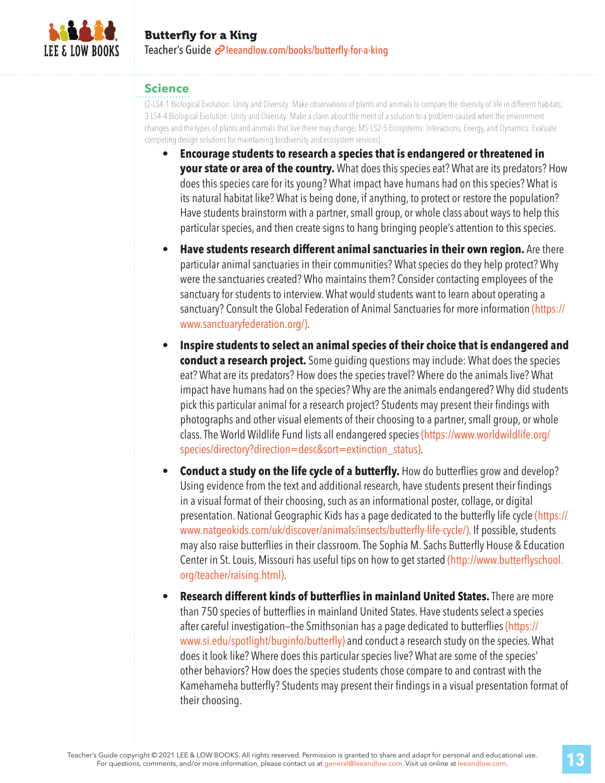

#### **Science**

(2-LS4-1 Biological Evolution: Unity and Diversity: Make observations of plants and animals to compare the diversity of life in different habitats; 3-LS4-4 Biological Evolution: Unity and Diversity: Make a claim about the merit of a solution to a problem caused when the environment changes and the types of plants and animals that live there may change; MS-LS2-5 Ecosystems: Interactions, Energy, and Dynamics: Evaluate competing design solutions for maintaining biodiversity and ecosystem services).

- **Encourage students to research a species that is endangered or threatened in your state or area of the country.** What does this species eat? What are its predators? How does this species care for its young? What impact have humans had on this species? What is its natural habitat like? What is being done, if anything, to protect or restore the population? Have students brainstorm with a partner, small group, or whole class about ways to help this particular species, and then create signs to hang bringing people's attention to this species.
- **Have students research different animal sanctuaries in their own region.** Are there particular animal sanctuaries in their communities? What species do they help protect? Why were the sanctuaries created? Who maintains them? Consider contacting employees of the sanctuary for students to interview. What would students want to learn about operating a sanctuary? Consult the Global Federation of Animal Sanctuaries for more information (https:// www.sanctuaryfederation.org/).
- **Inspire students to select an animal species of their choice that is endangered and conduct a research project.** Some guiding questions may include: What does the species eat? What are its predators? How does the species travel? Where do the animals live? What impact have humans had on the species? Why are the animals endangered? Why did students pick this particular animal for a research project? Students may present their findings with photographs and other visual elements of their choosing to a partner, small group, or whole class. The World Wildlife Fund lists all endangered species (https://www.worldwildlife.org/ species/directory?direction=desc&sort=extinction\_status).
- **Conduct a study on the life cycle of a butterfly.** How do butterflies grow and develop? Using evidence from the text and additional research, have students present their findings in a visual format of their choosing, such as an informational poster, collage, or digital presentation. National Geographic Kids has a page dedicated to the butterfly life cycle (https:// www.natgeokids.com/uk/discover/animals/insects/butterfly-life-cycle/). If possible, students may also raise butterflies in their classroom. The Sophia M. Sachs Butterfly House & Education Center in St. Louis, Missouri has useful tips on how to get started (http://www.butterflyschool. org/teacher/raising.html).
- **Research different kinds of butterflies in mainland United States.** There are more than 750 species of butterflies in mainland United States. Have students select a species after careful investigation—the Smithsonian has a page dedicated to butterflies (https:// www.si.edu/spotlight/buginfo/butterfly) and conduct a research study on the species. What does it look like? Where does this particular species live? What are some of the species' other behaviors? How does the species students chose compare to and contrast with the Kamehameha butterfly? Students may present their findings in a visual presentation format of their choosing.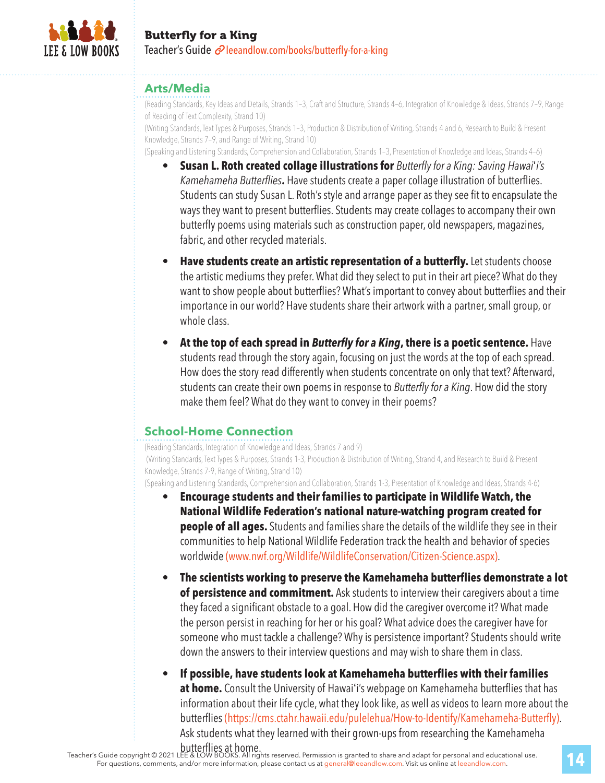

#### **Arts/Media**

(Reading Standards, Key Ideas and Details, Strands 1–3, Craft and Structure, Strands 4–6, Integration of Knowledge & Ideas, Strands 7–9, Range of Reading of Text Complexity, Strand 10)

(Writing Standards, Text Types & Purposes, Strands 1–3, Production & Distribution of Writing, Strands 4 and 6, Research to Build & Present Knowledge, Strands 7–9, and Range of Writing, Strand 10)

(Speaking and Listening Standards, Comprehension and Collaboration, Strands 1–3, Presentation of Knowledge and Ideas, Strands 4–6)

- **Susan L. Roth created collage illustrations for** *Butterflyfor a King: Saving Hawai*'*i's Kamehameha Butterflies***.** Have students create a paper collage illustration of butterflies. Students can study Susan L. Roth's style and arrange paper as they see fit to encapsulate the ways they want to present butterflies. Students may create collages to accompany their own butterfly poems using materials such as construction paper, old newspapers, magazines, fabric, and other recycled materials.
- **Have students create an artistic representation of a butterfly.** Let students choose the artistic mediums they prefer. What did they select to put in their art piece? What do they want to show people about butterflies? What's important to convey about butterflies and their importance in our world? Have students share their artwork with a partner, small group, or whole class.
- **At the top of each spread in** *Butterfly for a King***, there is a poetic sentence.** Have students read through the story again, focusing on just the words at the top of each spread. How does the story read differently when students concentrate on only that text? Afterward, students can create their own poems in response to *Butterflyfor a King*. How did the story make them feel? What do they want to convey in their poems?

#### **School-Home Connection**

(Reading Standards, Integration of Knowledge and Ideas, Strands 7 and 9) (Writing Standards, Text Types & Purposes, Strands 1-3, Production & Distribution of Writing, Strand 4, and Research to Build & Present Knowledge, Strands 7-9, Range of Writing, Strand 10)

(Speaking and Listening Standards, Comprehension and Collaboration, Strands 1-3, Presentation of Knowledge and Ideas, Strands 4-6)

- **Encourage students and their families to participate in Wildlife Watch, the National Wildlife Federation's national nature-watching program created for people of all ages.** Students and families share the details of the wildlife they see in their communities to help National Wildlife Federation track the health and behavior of species worldwide (www.nwf.org/Wildlife/WildlifeConservation/Citizen-Science.aspx).
- **The scientists working to preserve the Kamehameha butterflies demonstrate a lot of persistence and commitment.** Ask students to interview their caregivers about a time they faced a significant obstacle to a goal. How did the caregiver overcome it? What made the person persist in reaching for her or his goal? What advice does the caregiver have for someone who must tackle a challenge? Why is persistence important? Students should write down the answers to their interview questions and may wish to share them in class.
- **If possible, have students look at Kamehameha butterflies with their families at home.** Consult the University of Hawai'i's webpage on Kamehameha butterflies that has information about their life cycle, what they look like, as well as videos to learn more about the butterflies (https://cms.ctahr.hawaii.edu/pulelehua/How-to-Identify/Kamehameha-Butterfly). Ask students what they learned with their grown-ups from researching the Kamehameha